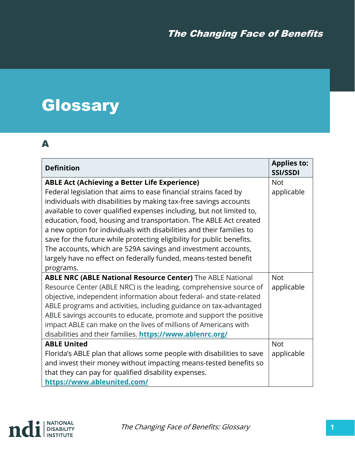# **Glossary**

#### A

| <b>Definition</b>                                                     | <b>Applies to:</b><br><b>SSI/SSDI</b> |
|-----------------------------------------------------------------------|---------------------------------------|
| <b>ABLE Act (Achieving a Better Life Experience)</b>                  | <b>Not</b>                            |
| Federal legislation that aims to ease financial strains faced by      | applicable                            |
| individuals with disabilities by making tax-free savings accounts     |                                       |
| available to cover qualified expenses including, but not limited to,  |                                       |
| education, food, housing and transportation. The ABLE Act created     |                                       |
| a new option for individuals with disabilities and their families to  |                                       |
| save for the future while protecting eligibility for public benefits. |                                       |
| The accounts, which are 529A savings and investment accounts,         |                                       |
| largely have no effect on federally funded, means-tested benefit      |                                       |
| programs.                                                             |                                       |
| <b>ABLE NRC (ABLE National Resource Center)</b> The ABLE National     | <b>Not</b>                            |
| Resource Center (ABLE NRC) is the leading, comprehensive source of    | applicable                            |
| objective, independent information about federal- and state-related   |                                       |
| ABLE programs and activities, including guidance on tax-advantaged    |                                       |
| ABLE savings accounts to educate, promote and support the positive    |                                       |
| impact ABLE can make on the lives of millions of Americans with       |                                       |
| disabilities and their families. https://www.ablenrc.org/             |                                       |
| <b>ABLE United</b>                                                    | <b>Not</b>                            |
| Florida's ABLE plan that allows some people with disabilities to save | applicable                            |
| and invest their money without impacting means-tested benefits so     |                                       |
| that they can pay for qualified disability expenses.                  |                                       |
| https://www.ableunited.com/                                           |                                       |

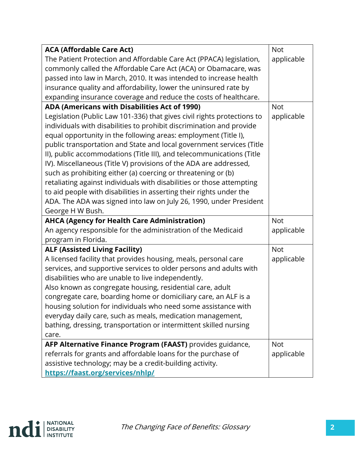| <b>ACA (Affordable Care Act)</b>                                        | <b>Not</b> |
|-------------------------------------------------------------------------|------------|
| The Patient Protection and Affordable Care Act (PPACA) legislation,     | applicable |
| commonly called the Affordable Care Act (ACA) or Obamacare, was         |            |
| passed into law in March, 2010. It was intended to increase health      |            |
| insurance quality and affordability, lower the uninsured rate by        |            |
| expanding insurance coverage and reduce the costs of healthcare.        |            |
| ADA (Americans with Disabilities Act of 1990)                           | <b>Not</b> |
| Legislation (Public Law 101-336) that gives civil rights protections to | applicable |
| individuals with disabilities to prohibit discrimination and provide    |            |
| equal opportunity in the following areas: employment (Title I),         |            |
| public transportation and State and local government services (Title    |            |
| II), public accommodations (Title III), and telecommunications (Title   |            |
| IV). Miscellaneous (Title V) provisions of the ADA are addressed,       |            |
| such as prohibiting either (a) coercing or threatening or (b)           |            |
| retaliating against individuals with disabilities or those attempting   |            |
| to aid people with disabilities in asserting their rights under the     |            |
| ADA. The ADA was signed into law on July 26, 1990, under President      |            |
| George H W Bush.                                                        |            |
| <b>AHCA (Agency for Health Care Administration)</b>                     | <b>Not</b> |
| An agency responsible for the administration of the Medicaid            | applicable |
| program in Florida.                                                     |            |
| <b>ALF (Assisted Living Facility)</b>                                   | <b>Not</b> |
| A licensed facility that provides housing, meals, personal care         | applicable |
| services, and supportive services to older persons and adults with      |            |
| disabilities who are unable to live independently.                      |            |
| Also known as congregate housing, residential care, adult               |            |
| congregate care, boarding home or domiciliary care, an ALF is a         |            |
| housing solution for individuals who need some assistance with          |            |
| everyday daily care, such as meals, medication management,              |            |
| bathing, dressing, transportation or intermittent skilled nursing       |            |
| care.                                                                   |            |
| AFP Alternative Finance Program (FAAST) provides guidance,              | <b>Not</b> |
| referrals for grants and affordable loans for the purchase of           | applicable |
| assistive technology; may be a credit-building activity.                |            |
| https://faast.org/services/nhlp/                                        |            |

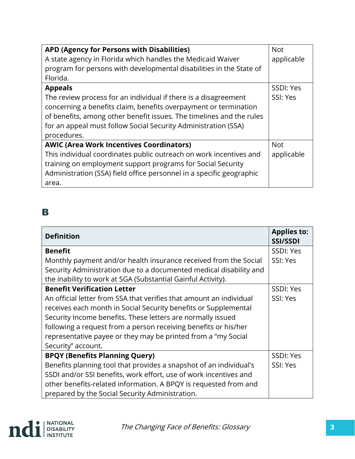| <b>APD (Agency for Persons with Disabilities)</b>                    | <b>Not</b> |
|----------------------------------------------------------------------|------------|
| A state agency in Florida which handles the Medicaid Waiver          | applicable |
| program for persons with developmental disabilities in the State of  |            |
| Florida.                                                             |            |
| <b>Appeals</b>                                                       | SSDI: Yes  |
| The review process for an individual if there is a disagreement      | SSI: Yes   |
| concerning a benefits claim, benefits overpayment or termination     |            |
| of benefits, among other benefit issues. The timelines and the rules |            |
| for an appeal must follow Social Security Administration (SSA)       |            |
| procedures.                                                          |            |
| <b>AWIC (Area Work Incentives Coordinators)</b>                      | <b>Not</b> |
| This individual coordinates public outreach on work incentives and   | applicable |
| training on employment support programs for Social Security          |            |
| Administration (SSA) field office personnel in a specific geographic |            |
| area.                                                                |            |

### B

| <b>Definition</b>                                                   | <b>Applies to:</b><br><b>SSI/SSDI</b> |
|---------------------------------------------------------------------|---------------------------------------|
| <b>Benefit</b>                                                      | SSDI: Yes                             |
| Monthly payment and/or health insurance received from the Social    | SSI: Yes                              |
| Security Administration due to a documented medical disability and  |                                       |
| the inability to work at SGA (Substantial Gainful Activity).        |                                       |
| <b>Benefit Verification Letter</b>                                  | SSDI: Yes                             |
| An official letter from SSA that verifies that amount an individual | SSI: Yes                              |
| receives each month in Social Security benefits or Supplemental     |                                       |
| Security Income benefits. These letters are normally issued         |                                       |
| following a request from a person receiving benefits or his/her     |                                       |
| representative payee or they may be printed from a "my Social       |                                       |
| Security" account.                                                  |                                       |
| <b>BPQY (Benefits Planning Query)</b>                               | SSDI: Yes                             |
| Benefits planning tool that provides a snapshot of an individual's  | SSI: Yes                              |
| SSDI and/or SSI benefits, work effort, use of work incentives and   |                                       |
| other benefits-related information. A BPQY is requested from and    |                                       |
| prepared by the Social Security Administration.                     |                                       |

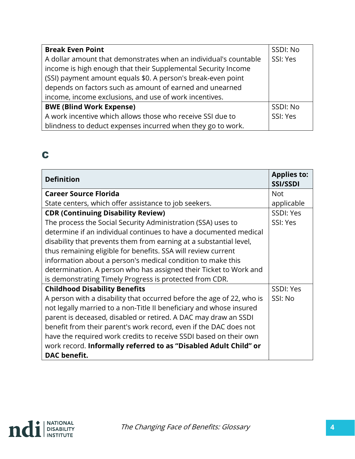| <b>Break Even Point</b>                                          | SSDI: No |
|------------------------------------------------------------------|----------|
| A dollar amount that demonstrates when an individual's countable | SSI: Yes |
| income is high enough that their Supplemental Security Income    |          |
| (SSI) payment amount equals \$0. A person's break-even point     |          |
| depends on factors such as amount of earned and unearned         |          |
| income, income exclusions, and use of work incentives.           |          |
| <b>BWE (Blind Work Expense)</b>                                  | SSDI: No |
| A work incentive which allows those who receive SSI due to       | SSI: Yes |
| blindness to deduct expenses incurred when they go to work.      |          |

## C

| <b>Definition</b>                                                     | <b>Applies to:</b><br><b>SSI/SSDI</b> |
|-----------------------------------------------------------------------|---------------------------------------|
| <b>Career Source Florida</b>                                          | <b>Not</b>                            |
| State centers, which offer assistance to job seekers.                 | applicable                            |
| <b>CDR (Continuing Disability Review)</b>                             | SSDI: Yes                             |
| The process the Social Security Administration (SSA) uses to          | SSI: Yes                              |
| determine if an individual continues to have a documented medical     |                                       |
| disability that prevents them from earning at a substantial level,    |                                       |
| thus remaining eligible for benefits. SSA will review current         |                                       |
| information about a person's medical condition to make this           |                                       |
| determination. A person who has assigned their Ticket to Work and     |                                       |
| is demonstrating Timely Progress is protected from CDR.               |                                       |
| <b>Childhood Disability Benefits</b>                                  | SSDI: Yes                             |
| A person with a disability that occurred before the age of 22, who is | SSI: No                               |
| not legally married to a non-Title II beneficiary and whose insured   |                                       |
| parent is deceased, disabled or retired. A DAC may draw an SSDI       |                                       |
| benefit from their parent's work record, even if the DAC does not     |                                       |
| have the required work credits to receive SSDI based on their own     |                                       |
| work record. Informally referred to as "Disabled Adult Child" or      |                                       |
| <b>DAC</b> benefit.                                                   |                                       |

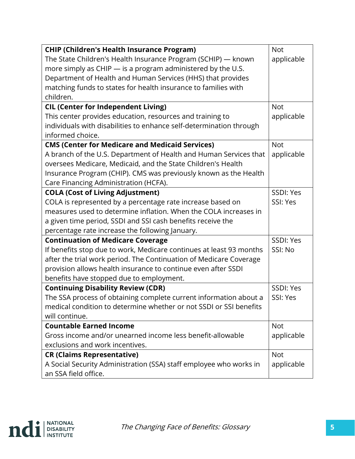| <b>CHIP (Children's Health Insurance Program)</b>                   | <b>Not</b> |
|---------------------------------------------------------------------|------------|
| The State Children's Health Insurance Program (SCHIP) - known       | applicable |
| more simply as CHIP - is a program administered by the U.S.         |            |
| Department of Health and Human Services (HHS) that provides         |            |
| matching funds to states for health insurance to families with      |            |
| children.                                                           |            |
| <b>CIL (Center for Independent Living)</b>                          | <b>Not</b> |
| This center provides education, resources and training to           | applicable |
| individuals with disabilities to enhance self-determination through |            |
| informed choice.                                                    |            |
| <b>CMS (Center for Medicare and Medicaid Services)</b>              | <b>Not</b> |
| A branch of the U.S. Department of Health and Human Services that   | applicable |
| oversees Medicare, Medicaid, and the State Children's Health        |            |
| Insurance Program (CHIP). CMS was previously known as the Health    |            |
| Care Financing Administration (HCFA).                               |            |
| <b>COLA (Cost of Living Adjustment)</b>                             | SSDI: Yes  |
| COLA is represented by a percentage rate increase based on          | SSI: Yes   |
| measures used to determine inflation. When the COLA increases in    |            |
| a given time period, SSDI and SSI cash benefits receive the         |            |
| percentage rate increase the following January.                     |            |
| <b>Continuation of Medicare Coverage</b>                            | SSDI: Yes  |
| If benefits stop due to work, Medicare continues at least 93 months | SSI: No    |
| after the trial work period. The Continuation of Medicare Coverage  |            |
| provision allows health insurance to continue even after SSDI       |            |
| benefits have stopped due to employment.                            |            |
| <b>Continuing Disability Review (CDR)</b>                           | SSDI: Yes  |
| The SSA process of obtaining complete current information about a   | SSI: Yes   |
| medical condition to determine whether or not SSDI or SSI benefits  |            |
| will continue.                                                      |            |
| <b>Countable Earned Income</b>                                      | <b>Not</b> |
| Gross income and/or unearned income less benefit-allowable          | applicable |
| exclusions and work incentives.                                     |            |
| <b>CR (Claims Representative)</b>                                   | <b>Not</b> |
| A Social Security Administration (SSA) staff employee who works in  | applicable |
| an SSA field office.                                                |            |

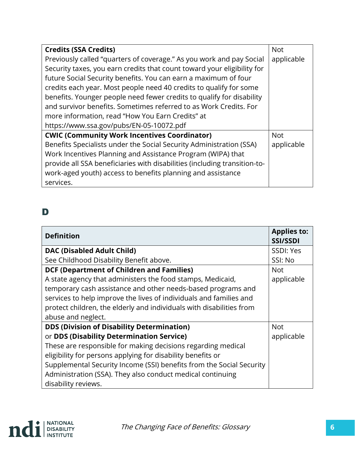| <b>Credits (SSA Credits)</b>                                              | <b>Not</b> |
|---------------------------------------------------------------------------|------------|
| Previously called "quarters of coverage." As you work and pay Social      | applicable |
| Security taxes, you earn credits that count toward your eligibility for   |            |
| future Social Security benefits. You can earn a maximum of four           |            |
| credits each year. Most people need 40 credits to qualify for some        |            |
| benefits. Younger people need fewer credits to qualify for disability     |            |
| and survivor benefits. Sometimes referred to as Work Credits. For         |            |
| more information, read "How You Earn Credits" at                          |            |
| https://www.ssa.gov/pubs/EN-05-10072.pdf                                  |            |
| <b>CWIC (Community Work Incentives Coordinator)</b>                       | <b>Not</b> |
| Benefits Specialists under the Social Security Administration (SSA)       | applicable |
| Work Incentives Planning and Assistance Program (WIPA) that               |            |
| provide all SSA beneficiaries with disabilities (including transition-to- |            |
| work-aged youth) access to benefits planning and assistance               |            |
| services.                                                                 |            |

## D

| <b>Definition</b>                                                                                                                                                                                                                                                                                                                                                                          | <b>Applies to:</b><br><b>SSI/SSDI</b> |
|--------------------------------------------------------------------------------------------------------------------------------------------------------------------------------------------------------------------------------------------------------------------------------------------------------------------------------------------------------------------------------------------|---------------------------------------|
| <b>DAC (Disabled Adult Child)</b>                                                                                                                                                                                                                                                                                                                                                          | SSDI: Yes                             |
| See Childhood Disability Benefit above.                                                                                                                                                                                                                                                                                                                                                    | SSI: No                               |
| <b>DCF (Department of Children and Families)</b>                                                                                                                                                                                                                                                                                                                                           | <b>Not</b>                            |
| A state agency that administers the food stamps, Medicaid,<br>temporary cash assistance and other needs-based programs and<br>services to help improve the lives of individuals and families and<br>protect children, the elderly and individuals with disabilities from<br>abuse and neglect.                                                                                             | applicable                            |
| <b>DDS (Division of Disability Determination)</b><br>or DDS (Disability Determination Service)<br>These are responsible for making decisions regarding medical<br>eligibility for persons applying for disability benefits or<br>Supplemental Security Income (SSI) benefits from the Social Security<br>Administration (SSA). They also conduct medical continuing<br>disability reviews. | <b>Not</b><br>applicable              |

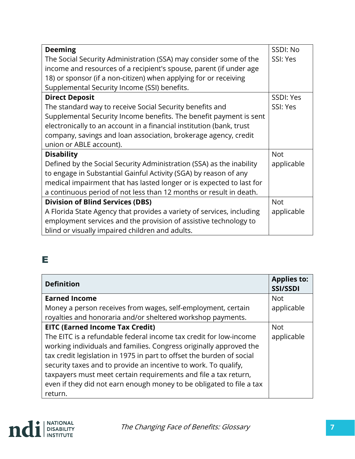| <b>Deeming</b>                                                        | SSDI: No   |
|-----------------------------------------------------------------------|------------|
| The Social Security Administration (SSA) may consider some of the     | SSI: Yes   |
| income and resources of a recipient's spouse, parent (if under age    |            |
| 18) or sponsor (if a non-citizen) when applying for or receiving      |            |
| Supplemental Security Income (SSI) benefits.                          |            |
| <b>Direct Deposit</b>                                                 | SSDI: Yes  |
| The standard way to receive Social Security benefits and              | SSI: Yes   |
| Supplemental Security Income benefits. The benefit payment is sent    |            |
| electronically to an account in a financial institution (bank, trust  |            |
| company, savings and loan association, brokerage agency, credit       |            |
| union or ABLE account).                                               |            |
| <b>Disability</b>                                                     | <b>Not</b> |
| Defined by the Social Security Administration (SSA) as the inability  | applicable |
| to engage in Substantial Gainful Activity (SGA) by reason of any      |            |
| medical impairment that has lasted longer or is expected to last for  |            |
| a continuous period of not less than 12 months or result in death.    |            |
| <b>Division of Blind Services (DBS)</b>                               | <b>Not</b> |
| A Florida State Agency that provides a variety of services, including | applicable |
| employment services and the provision of assistive technology to      |            |
| blind or visually impaired children and adults.                       |            |

## E

| <b>Definition</b>                                                     | <b>Applies to:</b><br><b>SSI/SSDI</b> |
|-----------------------------------------------------------------------|---------------------------------------|
| <b>Earned Income</b>                                                  | <b>Not</b>                            |
| Money a person receives from wages, self-employment, certain          | applicable                            |
| royalties and honoraria and/or sheltered workshop payments.           |                                       |
| <b>EITC (Earned Income Tax Credit)</b>                                | <b>Not</b>                            |
| The EITC is a refundable federal income tax credit for low-income     | applicable                            |
| working individuals and families. Congress originally approved the    |                                       |
| tax credit legislation in 1975 in part to offset the burden of social |                                       |
| security taxes and to provide an incentive to work. To qualify,       |                                       |
| taxpayers must meet certain requirements and file a tax return,       |                                       |
| even if they did not earn enough money to be obligated to file a tax  |                                       |
| return.                                                               |                                       |

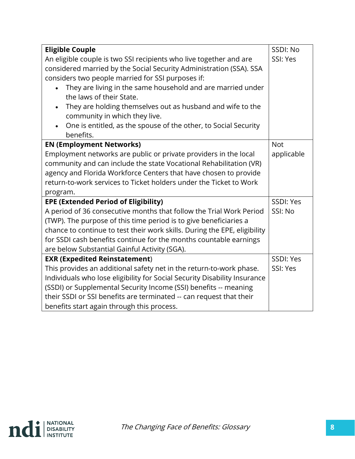| <b>Eligible Couple</b>                                                    | SSDI: No   |
|---------------------------------------------------------------------------|------------|
| An eligible couple is two SSI recipients who live together and are        | SSI: Yes   |
| considered married by the Social Security Administration (SSA). SSA       |            |
| considers two people married for SSI purposes if:                         |            |
| They are living in the same household and are married under               |            |
| the laws of their State.                                                  |            |
| They are holding themselves out as husband and wife to the                |            |
| community in which they live.                                             |            |
| One is entitled, as the spouse of the other, to Social Security           |            |
| benefits.                                                                 |            |
| <b>EN (Employment Networks)</b>                                           | <b>Not</b> |
| Employment networks are public or private providers in the local          | applicable |
| community and can include the state Vocational Rehabilitation (VR)        |            |
| agency and Florida Workforce Centers that have chosen to provide          |            |
| return-to-work services to Ticket holders under the Ticket to Work        |            |
| program.                                                                  |            |
| <b>EPE (Extended Period of Eligibility)</b>                               | SSDI: Yes  |
| A period of 36 consecutive months that follow the Trial Work Period       | SSI: No    |
| (TWP). The purpose of this time period is to give beneficiaries a         |            |
| chance to continue to test their work skills. During the EPE, eligibility |            |
| for SSDI cash benefits continue for the months countable earnings         |            |
| are below Substantial Gainful Activity (SGA).                             |            |
| <b>EXR (Expedited Reinstatement)</b>                                      | SSDI: Yes  |
| This provides an additional safety net in the return-to-work phase.       | SSI: Yes   |
| Individuals who lose eligibility for Social Security Disability Insurance |            |
| (SSDI) or Supplemental Security Income (SSI) benefits -- meaning          |            |
| their SSDI or SSI benefits are terminated -- can request that their       |            |
| benefits start again through this process.                                |            |

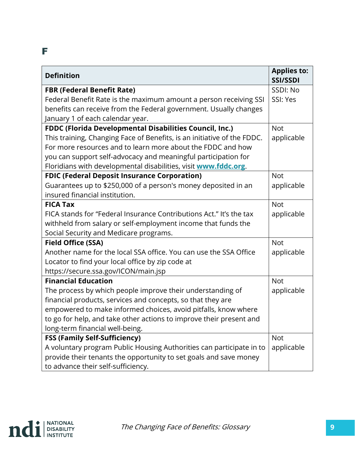#### F

| <b>Definition</b>                                                       | <b>Applies to:</b><br><b>SSI/SSDI</b> |
|-------------------------------------------------------------------------|---------------------------------------|
| <b>FBR (Federal Benefit Rate)</b>                                       | SSDI: No                              |
| Federal Benefit Rate is the maximum amount a person receiving SSI       | SSI: Yes                              |
| benefits can receive from the Federal government. Usually changes       |                                       |
| January 1 of each calendar year.                                        |                                       |
| FDDC (Florida Developmental Disabilities Council, Inc.)                 | <b>Not</b>                            |
| This training, Changing Face of Benefits, is an initiative of the FDDC. | applicable                            |
| For more resources and to learn more about the FDDC and how             |                                       |
| you can support self-advocacy and meaningful participation for          |                                       |
| Floridians with developmental disabilities, visit www.fddc.org.         |                                       |
| <b>FDIC (Federal Deposit Insurance Corporation)</b>                     | <b>Not</b>                            |
| Guarantees up to \$250,000 of a person's money deposited in an          | applicable                            |
| insured financial institution.                                          |                                       |
| <b>FICA Tax</b>                                                         | <b>Not</b>                            |
| FICA stands for "Federal Insurance Contributions Act." It's the tax     | applicable                            |
| withheld from salary or self-employment income that funds the           |                                       |
| Social Security and Medicare programs.                                  |                                       |
| <b>Field Office (SSA)</b>                                               | <b>Not</b>                            |
| Another name for the local SSA office. You can use the SSA Office       | applicable                            |
| Locator to find your local office by zip code at                        |                                       |
| https://secure.ssa.gov/ICON/main.jsp                                    |                                       |
| <b>Financial Education</b>                                              | <b>Not</b>                            |
| The process by which people improve their understanding of              | applicable                            |
| financial products, services and concepts, so that they are             |                                       |
| empowered to make informed choices, avoid pitfalls, know where          |                                       |
| to go for help, and take other actions to improve their present and     |                                       |
| long-term financial well-being.                                         |                                       |
| <b>FSS (Family Self-Sufficiency)</b>                                    | <b>Not</b>                            |
| A voluntary program Public Housing Authorities can participate in to    | applicable                            |
| provide their tenants the opportunity to set goals and save money       |                                       |
| to advance their self-sufficiency.                                      |                                       |

![](_page_8_Picture_2.jpeg)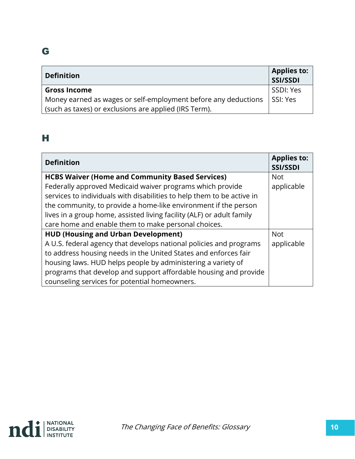## G

| <b>Definition</b>                                              | <b>Applies to:</b><br>SSI/SSDI |
|----------------------------------------------------------------|--------------------------------|
| <b>Gross Income</b>                                            | SSDI: Yes                      |
| Money earned as wages or self-employment before any deductions | SSI: Yes                       |
| (such as taxes) or exclusions are applied (IRS Term).          |                                |

### H

| <b>Definition</b>                                                      | <b>Applies to:</b><br><b>SSI/SSDI</b> |
|------------------------------------------------------------------------|---------------------------------------|
| <b>HCBS Waiver (Home and Community Based Services)</b>                 | <b>Not</b>                            |
| Federally approved Medicaid waiver programs which provide              | applicable                            |
| services to individuals with disabilities to help them to be active in |                                       |
| the community, to provide a home-like environment if the person        |                                       |
| lives in a group home, assisted living facility (ALF) or adult family  |                                       |
| care home and enable them to make personal choices.                    |                                       |
| <b>HUD (Housing and Urban Development)</b>                             | <b>Not</b>                            |
| A U.S. federal agency that develops national policies and programs     | applicable                            |
| to address housing needs in the United States and enforces fair        |                                       |
| housing laws. HUD helps people by administering a variety of           |                                       |
| programs that develop and support affordable housing and provide       |                                       |
| counseling services for potential homeowners.                          |                                       |

![](_page_9_Picture_4.jpeg)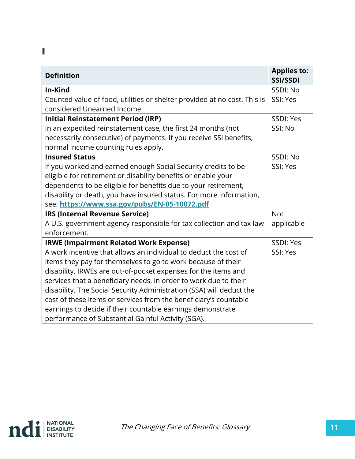### I

| <b>Definition</b>                                                        | <b>Applies to:</b><br><b>SSI/SSDI</b> |
|--------------------------------------------------------------------------|---------------------------------------|
| In-Kind                                                                  | SSDI: No                              |
| Counted value of food, utilities or shelter provided at no cost. This is | SSI: Yes                              |
| considered Unearned Income.                                              |                                       |
| <b>Initial Reinstatement Period (IRP)</b>                                | SSDI: Yes                             |
| In an expedited reinstatement case, the first 24 months (not             | SSI: No                               |
| necessarily consecutive) of payments. If you receive SSI benefits,       |                                       |
| normal income counting rules apply.                                      |                                       |
| <b>Insured Status</b>                                                    | SSDI: No                              |
| If you worked and earned enough Social Security credits to be            | SSI: Yes                              |
| eligible for retirement or disability benefits or enable your            |                                       |
| dependents to be eligible for benefits due to your retirement,           |                                       |
| disability or death, you have insured status. For more information,      |                                       |
| see: https://www.ssa.gov/pubs/EN-05-10072.pdf                            |                                       |
| IRS (Internal Revenue Service)                                           | <b>Not</b>                            |
| A U.S. government agency responsible for tax collection and tax law      | applicable                            |
| enforcement.                                                             |                                       |
| <b>IRWE (Impairment Related Work Expense)</b>                            | SSDI: Yes                             |
| A work incentive that allows an individual to deduct the cost of         | SSI: Yes                              |
| items they pay for themselves to go to work because of their             |                                       |
| disability. IRWEs are out-of-pocket expenses for the items and           |                                       |
| services that a beneficiary needs, in order to work due to their         |                                       |
| disability. The Social Security Administration (SSA) will deduct the     |                                       |
| cost of these items or services from the beneficiary's countable         |                                       |
| earnings to decide if their countable earnings demonstrate               |                                       |
| performance of Substantial Gainful Activity (SGA).                       |                                       |

![](_page_10_Picture_2.jpeg)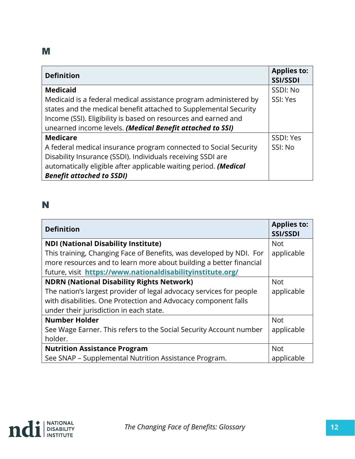#### **M**

| <b>Definition</b>                                                | <b>Applies to:</b><br><b>SSI/SSDI</b> |
|------------------------------------------------------------------|---------------------------------------|
| <b>Medicaid</b>                                                  | SSDI: No                              |
| Medicaid is a federal medical assistance program administered by | SSI: Yes                              |
| states and the medical benefit attached to Supplemental Security |                                       |
| Income (SSI). Eligibility is based on resources and earned and   |                                       |
| unearned income levels. (Medical Benefit attached to SSI)        |                                       |
| <b>Medicare</b>                                                  | SSDI: Yes                             |
| A federal medical insurance program connected to Social Security | SSI: No                               |
| Disability Insurance (SSDI). Individuals receiving SSDI are      |                                       |
| automatically eligible after applicable waiting period. (Medical |                                       |
| <b>Benefit attached to SSDI)</b>                                 |                                       |

#### N

| <b>Definition</b>                                                   | <b>Applies to:</b><br><b>SSI/SSDI</b> |
|---------------------------------------------------------------------|---------------------------------------|
| <b>NDI (National Disability Institute)</b>                          | <b>Not</b>                            |
| This training, Changing Face of Benefits, was developed by NDI. For | applicable                            |
| more resources and to learn more about building a better financial  |                                       |
| future, visit https://www.nationaldisabilityinstitute.org/          |                                       |
| <b>NDRN (National Disability Rights Network)</b>                    | <b>Not</b>                            |
| The nation's largest provider of legal advocacy services for people | applicable                            |
| with disabilities. One Protection and Advocacy component falls      |                                       |
| under their jurisdiction in each state.                             |                                       |
| <b>Number Holder</b>                                                | <b>Not</b>                            |
| See Wage Earner. This refers to the Social Security Account number  | applicable                            |
| holder.                                                             |                                       |
| <b>Nutrition Assistance Program</b>                                 | <b>Not</b>                            |
| See SNAP - Supplemental Nutrition Assistance Program.               | applicable                            |

![](_page_11_Picture_4.jpeg)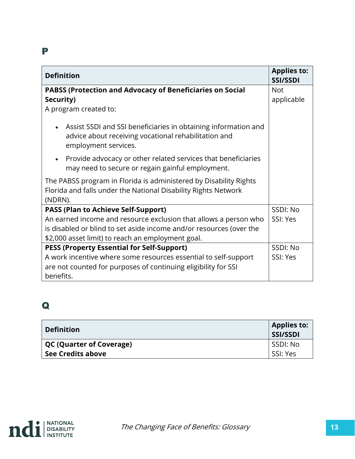#### P

| <b>Definition</b>                                                                                                                              | <b>Applies to:</b><br><b>SSI/SSDI</b> |
|------------------------------------------------------------------------------------------------------------------------------------------------|---------------------------------------|
| PABSS (Protection and Advocacy of Beneficiaries on Social                                                                                      | <b>Not</b>                            |
| Security)                                                                                                                                      | applicable                            |
| A program created to:                                                                                                                          |                                       |
| Assist SSDI and SSI beneficiaries in obtaining information and<br>advice about receiving vocational rehabilitation and<br>employment services. |                                       |
| Provide advocacy or other related services that beneficiaries<br>may need to secure or regain gainful employment.                              |                                       |
| The PABSS program in Florida is administered by Disability Rights<br>Florida and falls under the National Disability Rights Network<br>(NDRN). |                                       |
| <b>PASS (Plan to Achieve Self-Support)</b>                                                                                                     | SSDI: No                              |
| An earned income and resource exclusion that allows a person who                                                                               | SSI: Yes                              |
| is disabled or blind to set aside income and/or resources (over the                                                                            |                                       |
| \$2,000 asset limit) to reach an employment goal.                                                                                              |                                       |
| <b>PESS (Property Essential for Self-Support)</b>                                                                                              | SSDI: No                              |
| A work incentive where some resources essential to self-support                                                                                | SSI: Yes                              |
| are not counted for purposes of continuing eligibility for SSI                                                                                 |                                       |
| benefits.                                                                                                                                      |                                       |

## Q

| <b>Definition</b>               | <b>Applies to:</b><br>SSI/SSDI |
|---------------------------------|--------------------------------|
| <b>QC (Quarter of Coverage)</b> | SSDI: No                       |
| See Credits above               | SSI: Yes                       |

![](_page_12_Picture_4.jpeg)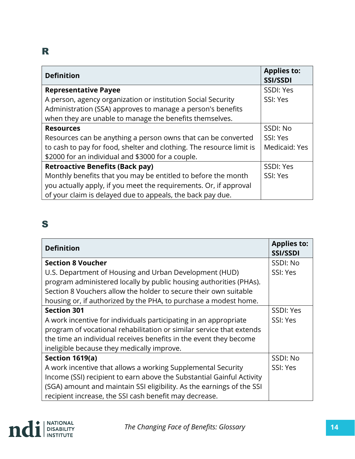## R

| <b>Definition</b>                                                    | <b>Applies to:</b><br><b>SSI/SSDI</b> |
|----------------------------------------------------------------------|---------------------------------------|
| <b>Representative Payee</b>                                          | SSDI: Yes                             |
| A person, agency organization or institution Social Security         | SSI: Yes                              |
| Administration (SSA) approves to manage a person's benefits          |                                       |
| when they are unable to manage the benefits themselves.              |                                       |
| <b>Resources</b>                                                     | SSDI: No                              |
| Resources can be anything a person owns that can be converted        | SSI: Yes                              |
| to cash to pay for food, shelter and clothing. The resource limit is | Medicaid: Yes                         |
| \$2000 for an individual and \$3000 for a couple.                    |                                       |
| <b>Retroactive Benefits (Back pay)</b>                               | SSDI: Yes                             |
| Monthly benefits that you may be entitled to before the month        | SSI: Yes                              |
| you actually apply, if you meet the requirements. Or, if approval    |                                       |
| of your claim is delayed due to appeals, the back pay due.           |                                       |

## S

| <b>Definition</b>                                                     | <b>Applies to:</b><br><b>SSI/SSDI</b> |
|-----------------------------------------------------------------------|---------------------------------------|
| <b>Section 8 Voucher</b>                                              | SSDI: No                              |
| U.S. Department of Housing and Urban Development (HUD)                | SSI: Yes                              |
| program administered locally by public housing authorities (PHAs).    |                                       |
| Section 8 Vouchers allow the holder to secure their own suitable      |                                       |
| housing or, if authorized by the PHA, to purchase a modest home.      |                                       |
| <b>Section 301</b>                                                    | SSDI: Yes                             |
| A work incentive for individuals participating in an appropriate      | SSI: Yes                              |
| program of vocational rehabilitation or similar service that extends  |                                       |
| the time an individual receives benefits in the event they become     |                                       |
| ineligible because they medically improve.                            |                                       |
| Section 1619(a)                                                       | SSDI: No                              |
| A work incentive that allows a working Supplemental Security          | SSI: Yes                              |
| Income (SSI) recipient to earn above the Substantial Gainful Activity |                                       |
| (SGA) amount and maintain SSI eligibility. As the earnings of the SSI |                                       |
| recipient increase, the SSI cash benefit may decrease.                |                                       |

![](_page_13_Picture_4.jpeg)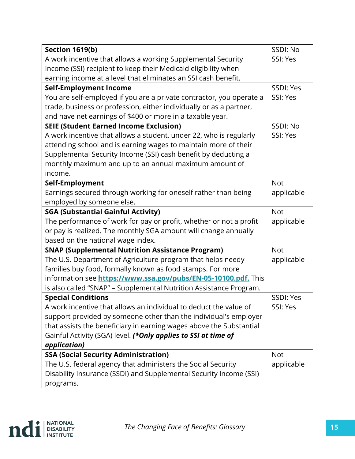| Section 1619(b)                                                      | SSDI: No   |
|----------------------------------------------------------------------|------------|
| A work incentive that allows a working Supplemental Security         | SSI: Yes   |
| Income (SSI) recipient to keep their Medicaid eligibility when       |            |
| earning income at a level that eliminates an SSI cash benefit.       |            |
| <b>Self-Employment Income</b>                                        | SSDI: Yes  |
| You are self-employed if you are a private contractor, you operate a | SSI: Yes   |
| trade, business or profession, either individually or as a partner,  |            |
| and have net earnings of \$400 or more in a taxable year.            |            |
| <b>SEIE (Student Earned Income Exclusion)</b>                        | SSDI: No   |
| A work incentive that allows a student, under 22, who is regularly   | SSI: Yes   |
| attending school and is earning wages to maintain more of their      |            |
| Supplemental Security Income (SSI) cash benefit by deducting a       |            |
| monthly maximum and up to an annual maximum amount of                |            |
| income.                                                              |            |
| Self-Employment                                                      | <b>Not</b> |
| Earnings secured through working for oneself rather than being       | applicable |
| employed by someone else.                                            |            |
| <b>SGA (Substantial Gainful Activity)</b>                            | <b>Not</b> |
| The performance of work for pay or profit, whether or not a profit   | applicable |
| or pay is realized. The monthly SGA amount will change annually      |            |
| based on the national wage index.                                    |            |
| <b>SNAP (Supplemental Nutrition Assistance Program)</b>              | <b>Not</b> |
| The U.S. Department of Agriculture program that helps needy          | applicable |
| families buy food, formally known as food stamps. For more           |            |
| information see https://www.ssa.gov/pubs/EN-05-10100.pdf. This       |            |
| is also called "SNAP" - Supplemental Nutrition Assistance Program.   |            |
| <b>Special Conditions</b>                                            | SSDI: Yes  |
| A work incentive that allows an individual to deduct the value of    | SSI: Yes   |
| support provided by someone other than the individual's employer     |            |
| that assists the beneficiary in earning wages above the Substantial  |            |
| Gainful Activity (SGA) level. (*Only applies to SSI at time of       |            |
| application)                                                         |            |
| <b>SSA (Social Security Administration)</b>                          | <b>Not</b> |
| The U.S. federal agency that administers the Social Security         | applicable |
| Disability Insurance (SSDI) and Supplemental Security Income (SSI)   |            |
| programs.                                                            |            |

![](_page_14_Picture_1.jpeg)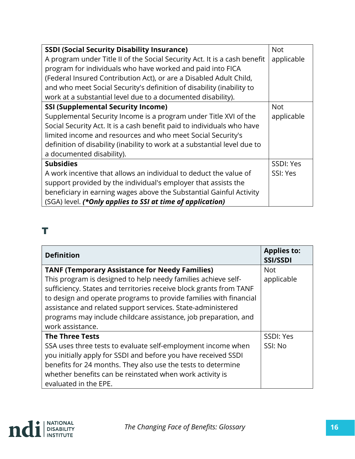| <b>SSDI (Social Security Disability Insurance)</b>                        | <b>Not</b> |
|---------------------------------------------------------------------------|------------|
| A program under Title II of the Social Security Act. It is a cash benefit | applicable |
| program for individuals who have worked and paid into FICA                |            |
| (Federal Insured Contribution Act), or are a Disabled Adult Child,        |            |
| and who meet Social Security's definition of disability (inability to     |            |
| work at a substantial level due to a documented disability).              |            |
| <b>SSI (Supplemental Security Income)</b>                                 | <b>Not</b> |
| Supplemental Security Income is a program under Title XVI of the          | applicable |
| Social Security Act. It is a cash benefit paid to individuals who have    |            |
| limited income and resources and who meet Social Security's               |            |
| definition of disability (inability to work at a substantial level due to |            |
| a documented disability).                                                 |            |
| <b>Subsidies</b>                                                          | SSDI: Yes  |
| A work incentive that allows an individual to deduct the value of         | SSI: Yes   |
| support provided by the individual's employer that assists the            |            |
| beneficiary in earning wages above the Substantial Gainful Activity       |            |
| (SGA) level. (*Only applies to SSI at time of application)                |            |

## T

| <b>Definition</b>                                                  | <b>Applies to:</b><br>SSI/SSDI |
|--------------------------------------------------------------------|--------------------------------|
| <b>TANF (Temporary Assistance for Needy Families)</b>              | <b>Not</b>                     |
| This program is designed to help needy families achieve self-      | applicable                     |
| sufficiency. States and territories receive block grants from TANF |                                |
| to design and operate programs to provide families with financial  |                                |
| assistance and related support services. State-administered        |                                |
| programs may include childcare assistance, job preparation, and    |                                |
| work assistance.                                                   |                                |
| <b>The Three Tests</b>                                             | SSDI: Yes                      |
| SSA uses three tests to evaluate self-employment income when       | SSI: No                        |
| you initially apply for SSDI and before you have received SSDI     |                                |
| benefits for 24 months. They also use the tests to determine       |                                |
| whether benefits can be reinstated when work activity is           |                                |
| evaluated in the EPE.                                              |                                |

![](_page_15_Picture_3.jpeg)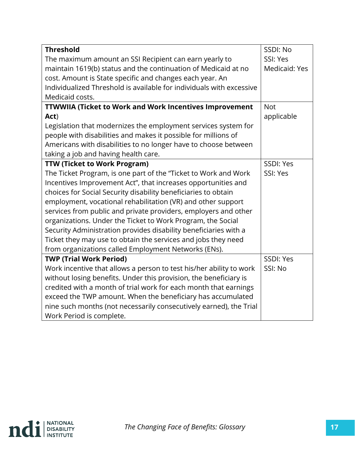| <b>Threshold</b>                                                     | SSDI: No      |
|----------------------------------------------------------------------|---------------|
| The maximum amount an SSI Recipient can earn yearly to               | SSI: Yes      |
| maintain 1619(b) status and the continuation of Medicaid at no       | Medicaid: Yes |
| cost. Amount is State specific and changes each year. An             |               |
| Individualized Threshold is available for individuals with excessive |               |
| Medicaid costs.                                                      |               |
| <b>TTWWIIA (Ticket to Work and Work Incentives Improvement</b>       | <b>Not</b>    |
| Act)                                                                 | applicable    |
| Legislation that modernizes the employment services system for       |               |
| people with disabilities and makes it possible for millions of       |               |
| Americans with disabilities to no longer have to choose between      |               |
| taking a job and having health care.                                 |               |
| <b>TTW (Ticket to Work Program)</b>                                  | SSDI: Yes     |
| The Ticket Program, is one part of the "Ticket to Work and Work      | SSI: Yes      |
| Incentives Improvement Act", that increases opportunities and        |               |
| choices for Social Security disability beneficiaries to obtain       |               |
| employment, vocational rehabilitation (VR) and other support         |               |
| services from public and private providers, employers and other      |               |
| organizations. Under the Ticket to Work Program, the Social          |               |
| Security Administration provides disability beneficiaries with a     |               |
| Ticket they may use to obtain the services and jobs they need        |               |
| from organizations called Employment Networks (ENs).                 |               |
| <b>TWP (Trial Work Period)</b>                                       | SSDI: Yes     |
| Work incentive that allows a person to test his/her ability to work  | SSI: No       |
| without losing benefits. Under this provision, the beneficiary is    |               |
| credited with a month of trial work for each month that earnings     |               |
| exceed the TWP amount. When the beneficiary has accumulated          |               |
| nine such months (not necessarily consecutively earned), the Trial   |               |
| Work Period is complete.                                             |               |

![](_page_16_Picture_1.jpeg)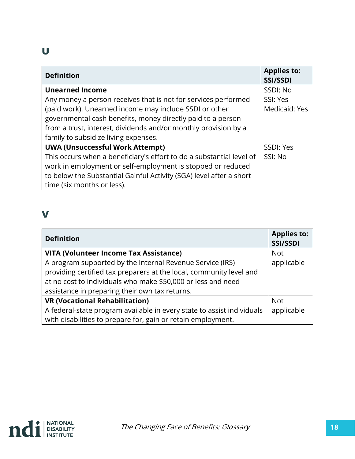#### U

| <b>Definition</b>                                                    | <b>Applies to:</b><br><b>SSI/SSDI</b> |
|----------------------------------------------------------------------|---------------------------------------|
| <b>Unearned Income</b>                                               | SSDI: No                              |
| Any money a person receives that is not for services performed       | SSI: Yes                              |
| (paid work). Unearned income may include SSDI or other               | Medicaid: Yes                         |
| governmental cash benefits, money directly paid to a person          |                                       |
| from a trust, interest, dividends and/or monthly provision by a      |                                       |
| family to subsidize living expenses.                                 |                                       |
| <b>UWA (Unsuccessful Work Attempt)</b>                               | SSDI: Yes                             |
| This occurs when a beneficiary's effort to do a substantial level of | SSI: No                               |
| work in employment or self-employment is stopped or reduced          |                                       |
| to below the Substantial Gainful Activity (SGA) level after a short  |                                       |
| time (six months or less).                                           |                                       |

### V

| <b>Definition</b>                                                      | <b>Applies to:</b><br>SSI/SSDI |
|------------------------------------------------------------------------|--------------------------------|
| <b>VITA (Volunteer Income Tax Assistance)</b>                          | <b>Not</b>                     |
| A program supported by the Internal Revenue Service (IRS)              | applicable                     |
| providing certified tax preparers at the local, community level and    |                                |
| at no cost to individuals who make \$50,000 or less and need           |                                |
| assistance in preparing their own tax returns.                         |                                |
| <b>VR (Vocational Rehabilitation)</b>                                  | <b>Not</b>                     |
| A federal-state program available in every state to assist individuals | applicable                     |
| with disabilities to prepare for, gain or retain employment.           |                                |

![](_page_17_Picture_4.jpeg)